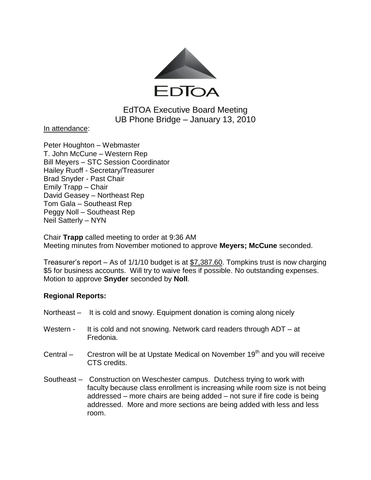

# EdTOA Executive Board Meeting UB Phone Bridge – January 13, 2010

# In attendance:

Peter Houghton – Webmaster T. John McCune – Western Rep Bill Meyers – STC Session Coordinator Hailey Ruoff - Secretary/Treasurer Brad Snyder - Past Chair Emily Trapp – Chair David Geasey – Northeast Rep Tom Gala – Southeast Rep Peggy Noll – Southeast Rep Neil Satterly – NYN

Chair **Trapp** called meeting to order at 9:36 AM Meeting minutes from November motioned to approve **Meyers; McCune** seconded.

Treasurer's report – As of  $1/1/10$  budget is at  $$7,387.60$ . Tompkins trust is now charging \$5 for business accounts. Will try to waive fees if possible. No outstanding expenses. Motion to approve **Snyder** seconded by **Noll**.

#### **Regional Reports:**

- Northeast It is cold and snowy. Equipment donation is coming along nicely
- Western It is cold and not snowing. Network card readers through ADT at Fredonia.
- Central  $-$  Crestron will be at Upstate Medical on November 19<sup>th</sup> and you will receive CTS credits.
- Southeast Construction on Weschester campus. Dutchess trying to work with faculty because class enrollment is increasing while room size is not being addressed – more chairs are being added – not sure if fire code is being addressed. More and more sections are being added with less and less room.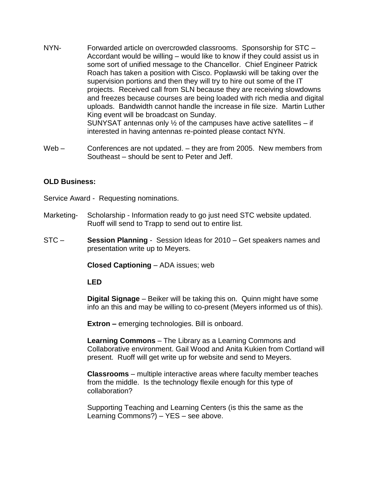- NYN- Forwarded article on overcrowded classrooms. Sponsorship for STC Accordant would be willing – would like to know if they could assist us in some sort of unified message to the Chancellor. Chief Engineer Patrick Roach has taken a position with Cisco. Poplawski will be taking over the supervision portions and then they will try to hire out some of the IT projects. Received call from SLN because they are receiving slowdowns and freezes because courses are being loaded with rich media and digital uploads. Bandwidth cannot handle the increase in file size. Martin Luther King event will be broadcast on Sunday. SUNYSAT antennas only  $\frac{1}{2}$  of the campuses have active satellites – if interested in having antennas re-pointed please contact NYN.
- Web Conferences are not updated. they are from 2005. New members from Southeast – should be sent to Peter and Jeff.

## **OLD Business:**

Service Award - Requesting nominations.

- Marketing- Scholarship Information ready to go just need STC website updated. Ruoff will send to Trapp to send out to entire list.
- STC **Session Planning** Session Ideas for 2010 Get speakers names and presentation write up to Meyers.

**Closed Captioning** – ADA issues; web

**LED** 

**Digital Signage** – Beiker will be taking this on. Quinn might have some info an this and may be willing to co-present (Meyers informed us of this).

**Extron –** emerging technologies. Bill is onboard.

**Learning Commons** – The Library as a Learning Commons and Collaborative environment. Gail Wood and Anita Kukien from Cortland will present. Ruoff will get write up for website and send to Meyers.

**Classrooms** – multiple interactive areas where faculty member teaches from the middle. Is the technology flexile enough for this type of collaboration?

Supporting Teaching and Learning Centers (is this the same as the Learning Commons?) – YES – see above.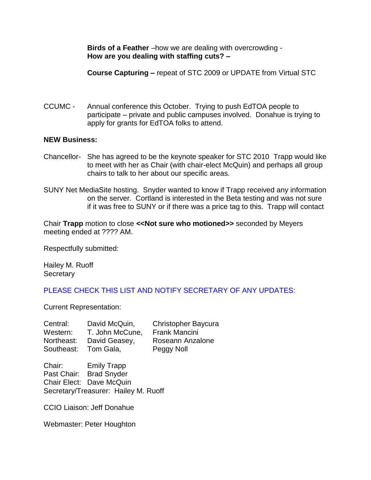**Birds of a Feather** –how we are dealing with overcrowding - **How are you dealing with staffing cuts? –**

**Course Capturing –** repeat of STC 2009 or UPDATE from Virtual STC

CCUMC - Annual conference this October. Trying to push EdTOA people to participate – private and public campuses involved. Donahue is trying to apply for grants for EdTOA folks to attend.

## **NEW Business:**

- Chancellor- She has agreed to be the keynote speaker for STC 2010 Trapp would like to meet with her as Chair (with chair-elect McQuin) and perhaps all group chairs to talk to her about our specific areas.
- SUNY Net MediaSite hosting. Snyder wanted to know if Trapp received any information on the server. Cortland is interested in the Beta testing and was not sure if it was free to SUNY or if there was a price tag to this. Trapp will contact

Chair **Trapp** motion to close **<<Not sure who motioned>>** seconded by Meyers meeting ended at ???? AM.

Respectfully submitted:

Hailey M. Ruoff **Secretary** 

PLEASE CHECK THIS LIST AND NOTIFY SECRETARY OF ANY UPDATES:

Current Representation:

| Central:   | David McQuin,   | Christopher Baycura  |
|------------|-----------------|----------------------|
| Western:   | T. John McCune, | <b>Frank Mancini</b> |
| Northeast: | David Geasey,   | Roseann Anzalone     |
| Southeast: | Tom Gala,       | Peggy Noll           |

Chair: Emily Trapp Past Chair: Brad Snyder Chair Elect: Dave McQuin Secretary/Treasurer: Hailey M. Ruoff

CCIO Liaison: Jeff Donahue

Webmaster: Peter Houghton